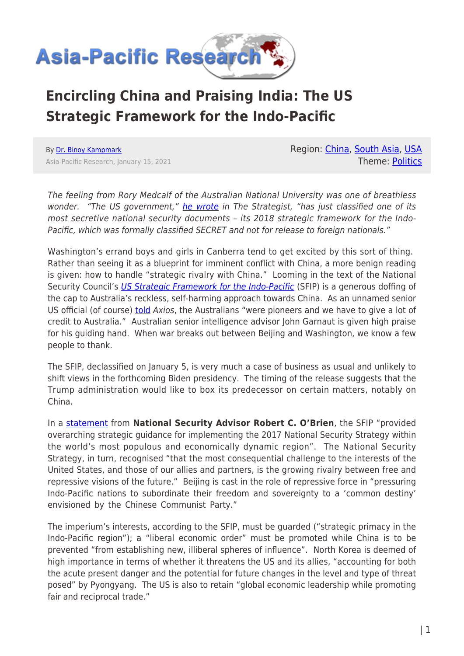

## **Encircling China and Praising India: The US Strategic Framework for the Indo-Pacific**

By [Dr. Binoy Kampmark](https://www.asia-pacificresearch.com/author/binoy-kampmark) Asia-Pacific Research, January 15, 2021 Region: [China](https://www.asia-pacificresearch.com/region/china), [South Asia,](https://www.asia-pacificresearch.com/region/south-asia) [USA](https://www.asia-pacificresearch.com/region/usa-as) Theme: [Politics](https://www.asia-pacificresearch.com/theme/politics)

The feeling from Rory Medcalf of the Australian National University was one of breathless wonder. "The US government," [he wrote](https://www.aspistrategist.org.au/declassification-of-secret-document-reveals-real-us-strategy-in-the-indo-pacific/) in The Strategist, "has just classified one of its most secretive national security documents – its 2018 strategic framework for the Indo-Pacific, which was formally classified SECRET and not for release to foreign nationals."

Washington's errand boys and girls in Canberra tend to get excited by this sort of thing. Rather than seeing it as a blueprint for imminent conflict with China, a more benign reading is given: how to handle "strategic rivalry with China." Looming in the text of the National Security Council's [US Strategic Framework for the Indo-Pacific](https://www.whitehouse.gov/wp-content/uploads/2021/01/IPS-Final-Declass.pdf) (SFIP) is a generous doffing of the cap to Australia's reckless, self-harming approach towards China. As an unnamed senior US official (of course) **[told](https://www.axios.com/indo-pacific-strategy-trump-administration-china-377b965c-6cf8-4299-a230-c0e869bb4d73.html)** Axios, the Australians "were pioneers and we have to give a lot of credit to Australia." Australian senior intelligence advisor John Garnaut is given high praise for his guiding hand. When war breaks out between Beijing and Washington, we know a few people to thank.

The SFIP, declassified on January 5, is very much a case of business as usual and unlikely to shift views in the forthcoming Biden presidency. The timing of the release suggests that the Trump administration would like to box its predecessor on certain matters, notably on China.

In a [statement](https://www.whitehouse.gov/briefings-statements/statement-national-security-advisor-robert-c-obrien-011221/) from **National Security Advisor Robert C. O'Brien**, the SFIP "provided overarching strategic guidance for implementing the 2017 National Security Strategy within the world's most populous and economically dynamic region". The National Security Strategy, in turn, recognised "that the most consequential challenge to the interests of the United States, and those of our allies and partners, is the growing rivalry between free and repressive visions of the future." Beijing is cast in the role of repressive force in "pressuring Indo-Pacific nations to subordinate their freedom and sovereignty to a 'common destiny' envisioned by the Chinese Communist Party."

The imperium's interests, according to the SFIP, must be guarded ("strategic primacy in the Indo-Pacific region"); a "liberal economic order" must be promoted while China is to be prevented "from establishing new, illiberal spheres of influence". North Korea is deemed of high importance in terms of whether it threatens the US and its allies, "accounting for both the acute present danger and the potential for future changes in the level and type of threat posed" by Pyongyang. The US is also to retain "global economic leadership while promoting fair and reciprocal trade."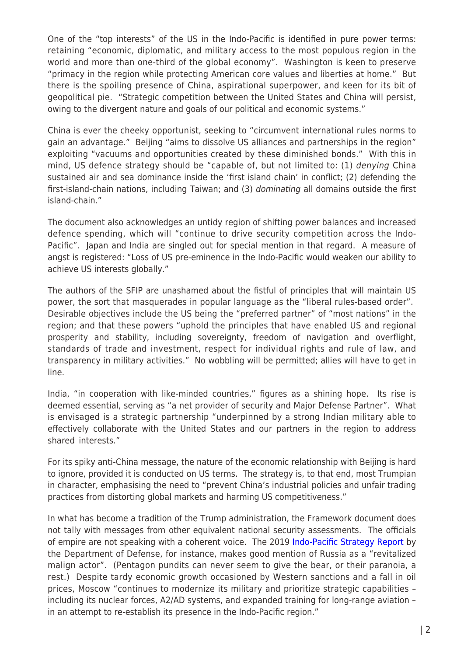One of the "top interests" of the US in the Indo-Pacific is identified in pure power terms: retaining "economic, diplomatic, and military access to the most populous region in the world and more than one-third of the global economy". Washington is keen to preserve "primacy in the region while protecting American core values and liberties at home." But there is the spoiling presence of China, aspirational superpower, and keen for its bit of geopolitical pie. "Strategic competition between the United States and China will persist, owing to the divergent nature and goals of our political and economic systems."

China is ever the cheeky opportunist, seeking to "circumvent international rules norms to gain an advantage." Beijing "aims to dissolve US alliances and partnerships in the region" exploiting "vacuums and opportunities created by these diminished bonds." With this in mind, US defence strategy should be "capable of, but not limited to: (1) denying China sustained air and sea dominance inside the 'first island chain' in conflict; (2) defending the first-island-chain nations, including Taiwan; and (3) dominating all domains outside the first island-chain."

The document also acknowledges an untidy region of shifting power balances and increased defence spending, which will "continue to drive security competition across the Indo-Pacific". Japan and India are singled out for special mention in that regard. A measure of angst is registered: "Loss of US pre-eminence in the Indo-Pacific would weaken our ability to achieve US interests globally."

The authors of the SFIP are unashamed about the fistful of principles that will maintain US power, the sort that masquerades in popular language as the "liberal rules-based order". Desirable objectives include the US being the "preferred partner" of "most nations" in the region; and that these powers "uphold the principles that have enabled US and regional prosperity and stability, including sovereignty, freedom of navigation and overflight, standards of trade and investment, respect for individual rights and rule of law, and transparency in military activities." No wobbling will be permitted; allies will have to get in line.

India, "in cooperation with like-minded countries," figures as a shining hope. Its rise is deemed essential, serving as "a net provider of security and Major Defense Partner". What is envisaged is a strategic partnership "underpinned by a strong Indian military able to effectively collaborate with the United States and our partners in the region to address shared interests."

For its spiky anti-China message, the nature of the economic relationship with Beijing is hard to ignore, provided it is conducted on US terms. The strategy is, to that end, most Trumpian in character, emphasising the need to "prevent China's industrial policies and unfair trading practices from distorting global markets and harming US competitiveness."

In what has become a tradition of the Trump administration, the Framework document does not tally with messages from other equivalent national security assessments. The officials of empire are not speaking with a coherent voice. The 2019 [Indo-Pacific Strategy Report](https://media.defense.gov/2019/Jul/01/2002152311/-1/-1/1/DEPARTMENT-OF-DEFENSE-INDO-PACIFIC-STRATEGY-REPORT-2019.PDF) by the Department of Defense, for instance, makes good mention of Russia as a "revitalized malign actor". (Pentagon pundits can never seem to give the bear, or their paranoia, a rest.) Despite tardy economic growth occasioned by Western sanctions and a fall in oil prices, Moscow "continues to modernize its military and prioritize strategic capabilities – including its nuclear forces, A2/AD systems, and expanded training for long-range aviation – in an attempt to re-establish its presence in the Indo-Pacific region."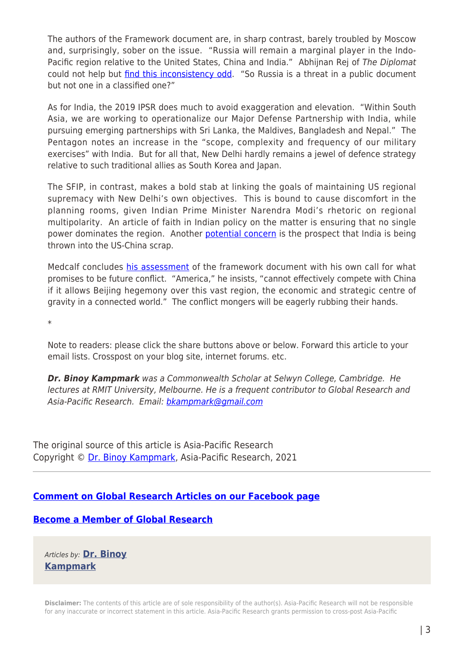The authors of the Framework document are, in sharp contrast, barely troubled by Moscow and, surprisingly, sober on the issue. "Russia will remain a marginal player in the Indo-Pacific region relative to the United States, China and India." Abhijnan Rej of The Diplomat could not help but *find this inconsistency odd*. "So Russia is a threat in a public document but not one in a classified one?"

As for India, the 2019 IPSR does much to avoid exaggeration and elevation. "Within South Asia, we are working to operationalize our Major Defense Partnership with India, while pursuing emerging partnerships with Sri Lanka, the Maldives, Bangladesh and Nepal." The Pentagon notes an increase in the "scope, complexity and frequency of our military exercises" with India. But for all that, New Delhi hardly remains a jewel of defence strategy relative to such traditional allies as South Korea and Japan.

The SFIP, in contrast, makes a bold stab at linking the goals of maintaining US regional supremacy with New Delhi's own objectives. This is bound to cause discomfort in the planning rooms, given Indian Prime Minister Narendra Modi's rhetoric on regional multipolarity. An article of faith in Indian policy on the matter is ensuring that no single power dominates the region. Another [potential concern](https://theprint.in/opinion/what-declassified-us-document-reveals-about-trump-administrations-strategy-in-indo-pacific/585261/) is the prospect that India is being thrown into the US-China scrap.

Medcalf concludes [his assessment](https://www.aspistrategist.org.au/declassification-of-secret-document-reveals-real-us-strategy-in-the-indo-pacific/) of the framework document with his own call for what promises to be future conflict. "America," he insists, "cannot effectively compete with China if it allows Beijing hegemony over this vast region, the economic and strategic centre of gravity in a connected world." The conflict mongers will be eagerly rubbing their hands.

\*

Note to readers: please click the share buttons above or below. Forward this article to your email lists. Crosspost on your blog site, internet forums. etc.

*Dr. Binoy Kampmark* was a Commonwealth Scholar at Selwyn College, Cambridge. He lectures at RMIT University, Melbourne. He is a frequent contributor to Global Research and Asia-Pacific Research. Email: [bkampmark@gmail.com](mailto:bkampmark@gmail.com)

The original source of this article is Asia-Pacific Research Copyright © [Dr. Binoy Kampmark](https://www.asia-pacificresearch.com/author/binoy-kampmark), Asia-Pacific Research, 2021

## **[Comment on Global Research Articles on our Facebook page](https://www.facebook.com/GlobalResearchCRG)**

## **[Become a Member of Global Research](https://store.globalresearch.ca/member/)**

Articles by: **[Dr. Binoy](https://www.asia-pacificresearch.com/author/binoy-kampmark) [Kampmark](https://www.asia-pacificresearch.com/author/binoy-kampmark)**

**Disclaimer:** The contents of this article are of sole responsibility of the author(s). Asia-Pacific Research will not be responsible for any inaccurate or incorrect statement in this article. Asia-Pacific Research grants permission to cross-post Asia-Pacific